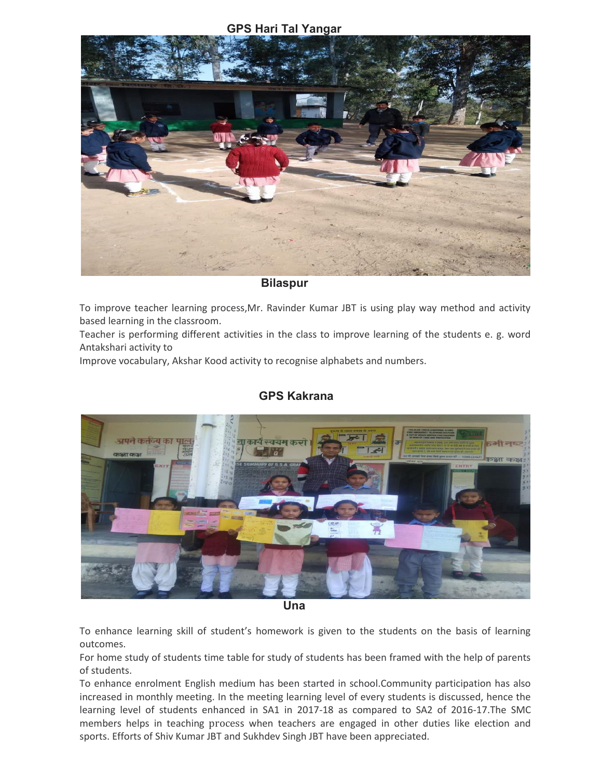## **GPS Hari Tal Yangar**



#### **Bilaspur**

To improve teacher learning process,Mr. Ravinder Kumar JBT is using play way method and activity based learning in the classroom.

Teacher is performing different activities in the class to improve learning of the students e. g. word Antakshari activity to

Improve vocabulary, Akshar Kood activity to recognise alphabets and numbers.

# **GPS Kakrana**



 *Una and Una and Una Direction***ly,**  $U$ **na** 

To enhance learning skill of student's homework is given to the students on the basis of learning outcomes.

For home study of students time table for study of students has been framed with the help of parents of students.

To enhance enrolment English medium has been started in school.Community participation has also increased in monthly meeting. In the meeting learning level of every students is discussed, hence the learning level of students enhanced in SA1 in 2017-18 as compared to SA2 of 2016-17.The SMC members helps in teaching process when teachers are engaged in other duties like election and sports. Efforts of Shiv Kumar JBT and Sukhdev Singh JBT have been appreciated.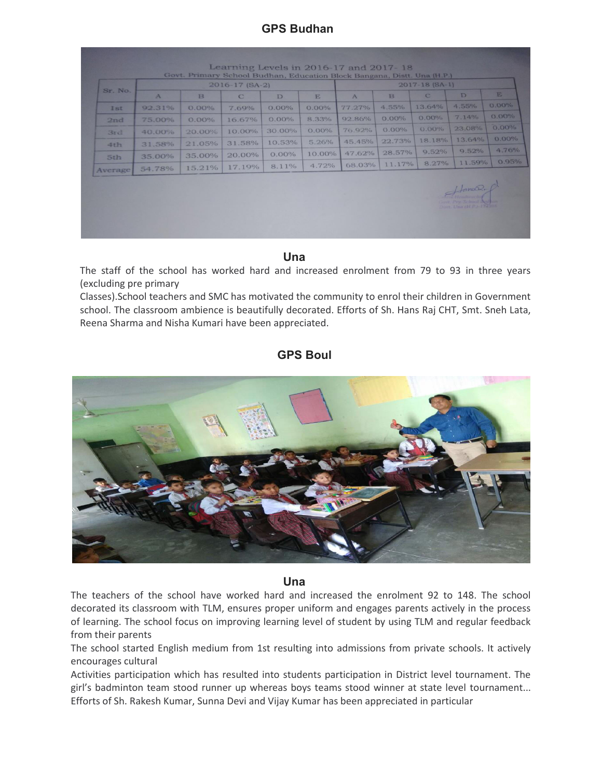# **GPS Budhan**

| Sr. No.    |              | $2017 - 18$ (SA-1) |             |          |          |              |          |             |                                       |          |  |
|------------|--------------|--------------------|-------------|----------|----------|--------------|----------|-------------|---------------------------------------|----------|--|
|            | $\mathbf{A}$ | B                  | $\mathbf C$ | D        | E        | $\mathbf{A}$ | B        | $\mathbf C$ | D                                     | E.       |  |
| <b>Ist</b> | 92.31%       | $0.00\%$           | 7.69%       | $0.00\%$ | $0.00\%$ | 77.27%       | 4.55%    | 13.64%      | 4.55%                                 | $0.00\%$ |  |
| 2nd        | 75.00%       | 0.00%              | 16.67%      | $0.00\%$ | 8.33%    | 92.86%       | 0.00%    | $0.00\%$    | 7.14%                                 | $0.00\%$ |  |
| 3rd        | 40.00%       | 20.00%             | 10.00%      | 30.00%   | 0.00%    | 76.92%       | $0.00\%$ | $0.00\%$    | 23.08%                                | $0.00\%$ |  |
| 4th        | 31.58%       | 21.05%             | 31.58%      | 10.53%   | 5.26%    | 45.45%       | 22.73%   | 18.18%      | 13.64%                                | $0.00\%$ |  |
| 5th        | 35.00%       | 35.00%             | 20.00%      | $0.00\%$ | 10.00%   | 47.62%       | 28.57%   | 9.52%       | 9.52%                                 | 4.76%    |  |
| Average    | 54.78%       | 15.21%             | 17.19%      | 8.11%    | 4.72%    | 68.03%       | 11.17%   | 8.27%       | 11.59%                                | 0.95%    |  |
|            |              |                    |             |          |          |              |          |             | $Hom_2$<br>Disrt. Unit (H.P.)-174 10N |          |  |

#### **Una**

The staff of the school has worked hard and increased enrolment from 79 to 93 in three years (excluding pre primary

Classes).School teachers and SMC has motivated the community to enrol their children in Government school. The classroom ambience is beautifully decorated. Efforts of Sh. Hans Raj CHT, Smt. Sneh Lata, Reena Sharma and Nisha Kumari have been appreciated.

### **GPS Boul**



#### **Una**

The teachers of the school have worked hard and increased the enrolment 92 to 148. The school decorated its classroom with TLM, ensures proper uniform and engages parents actively in the process of learning. The school focus on improving learning level of student by using TLM and regular feedback from their parents

The school started English medium from 1st resulting into admissions from private schools. It actively encourages cultural

Activities participation which has resulted into students participation in District level tournament. The girl's badminton team stood runner up whereas boys teams stood winner at state level tournament... Efforts of Sh. Rakesh Kumar, Sunna Devi and Vijay Kumar has been appreciated in particular